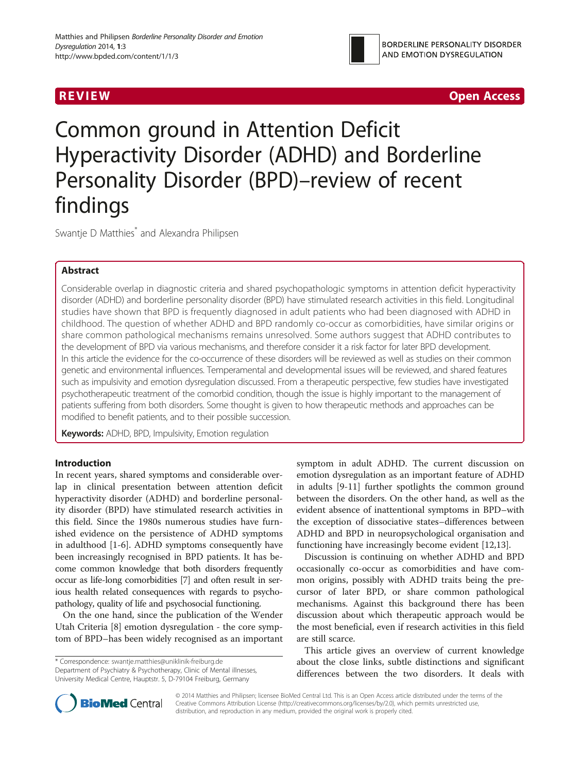



# Common ground in Attention Deficit Hyperactivity Disorder (ADHD) and Borderline Personality Disorder (BPD)–review of recent findings

Swantje D Matthies<sup>\*</sup> and Alexandra Philipsen

# Abstract

Considerable overlap in diagnostic criteria and shared psychopathologic symptoms in attention deficit hyperactivity disorder (ADHD) and borderline personality disorder (BPD) have stimulated research activities in this field. Longitudinal studies have shown that BPD is frequently diagnosed in adult patients who had been diagnosed with ADHD in childhood. The question of whether ADHD and BPD randomly co-occur as comorbidities, have similar origins or share common pathological mechanisms remains unresolved. Some authors suggest that ADHD contributes to the development of BPD via various mechanisms, and therefore consider it a risk factor for later BPD development. In this article the evidence for the co-occurrence of these disorders will be reviewed as well as studies on their common genetic and environmental influences. Temperamental and developmental issues will be reviewed, and shared features such as impulsivity and emotion dysregulation discussed. From a therapeutic perspective, few studies have investigated psychotherapeutic treatment of the comorbid condition, though the issue is highly important to the management of patients suffering from both disorders. Some thought is given to how therapeutic methods and approaches can be modified to benefit patients, and to their possible succession.

Keywords: ADHD, BPD, Impulsivity, Emotion regulation

### Introduction

In recent years, shared symptoms and considerable overlap in clinical presentation between attention deficit hyperactivity disorder (ADHD) and borderline personality disorder (BPD) have stimulated research activities in this field. Since the 1980s numerous studies have furnished evidence on the persistence of ADHD symptoms in adulthood [[1-6](#page-9-0)]. ADHD symptoms consequently have been increasingly recognised in BPD patients. It has become common knowledge that both disorders frequently occur as life-long comorbidities [\[7\]](#page-9-0) and often result in serious health related consequences with regards to psychopathology, quality of life and psychosocial functioning.

On the one hand, since the publication of the Wender Utah Criteria [[8\]](#page-9-0) emotion dysregulation - the core symptom of BPD–has been widely recognised as an important

\* Correspondence: [swantje.matthies@uniklinik-freiburg.de](mailto:swantje.matthies@uniklinik-freiburg.de)

Department of Psychiatry & Psychotherapy, Clinic of Mental illnesses, University Medical Centre, Hauptstr. 5, D-79104 Freiburg, Germany

symptom in adult ADHD. The current discussion on emotion dysregulation as an important feature of ADHD in adults [[9-11](#page-9-0)] further spotlights the common ground between the disorders. On the other hand, as well as the evident absence of inattentional symptoms in BPD–with the exception of dissociative states–differences between ADHD and BPD in neuropsychological organisation and functioning have increasingly become evident [[12,13\]](#page-9-0).

Discussion is continuing on whether ADHD and BPD occasionally co-occur as comorbidities and have common origins, possibly with ADHD traits being the precursor of later BPD, or share common pathological mechanisms. Against this background there has been discussion about which therapeutic approach would be the most beneficial, even if research activities in this field are still scarce.

This article gives an overview of current knowledge about the close links, subtle distinctions and significant differences between the two disorders. It deals with



© 2014 Matthies and Philipsen; licensee BioMed Central Ltd. This is an Open Access article distributed under the terms of the Creative Commons Attribution License (<http://creativecommons.org/licenses/by/2.0>), which permits unrestricted use, distribution, and reproduction in any medium, provided the original work is properly cited.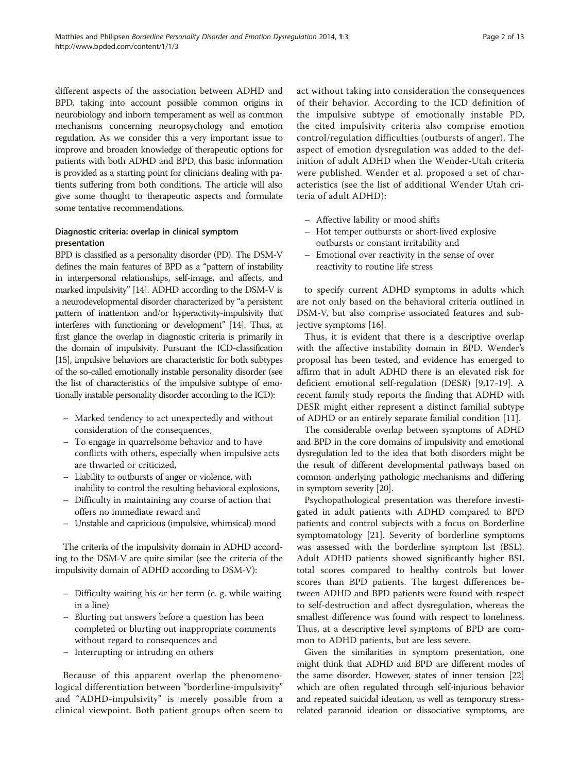different aspects of the association between ADHD and BPD, taking into account possible common origins in neurobiology and inborn temperament as well as common mechanisms concerning neuropsychology and emotion regulation. As we consider this a very important issue to improve and broaden knowledge of therapeutic options for patients with both ADHD and BPD, this basic information is provided as a starting point for clinicians dealing with patients suffering from both conditions. The article will also give some thought to therapeutic aspects and formulate some tentative recommendations.

# Diagnostic criteria: overlap in clinical symptom presentation

BPD is classified as a personality disorder (PD). The DSM-V defines the main features of BPD as a "pattern of instability in interpersonal relationships, self-image, and affects, and marked impulsivity" [\[14](#page-9-0)]. ADHD according to the DSM-V is a neurodevelopmental disorder characterized by "a persistent pattern of inattention and/or hyperactivity-impulsivity that interferes with functioning or development" [[14\]](#page-9-0). Thus, at first glance the overlap in diagnostic criteria is primarily in the domain of impulsivity. Pursuant the ICD-classification [[15\]](#page-9-0), impulsive behaviors are characteristic for both subtypes of the so-called emotionally instable personality disorder (see the list of characteristics of the impulsive subtype of emotionally instable personality disorder according to the ICD):

- Marked tendency to act unexpectedly and without consideration of the consequences,
- To engage in quarrelsome behavior and to have conflicts with others, especially when impulsive acts are thwarted or criticized,
- Liability to outbursts of anger or violence, with inability to control the resulting behavioral explosions,
- Difficulty in maintaining any course of action that offers no immediate reward and
- Unstable and capricious (impulsive, whimsical) mood

The criteria of the impulsivity domain in ADHD according to the DSM-V are quite similar (see the criteria of the impulsivity domain of ADHD according to DSM-V):

- Difficulty waiting his or her term (e. g. while waiting in a line)
- Blurting out answers before a question has been completed or blurting out inappropriate comments without regard to consequences and
- Interrupting or intruding on others

Because of this apparent overlap the phenomenological differentiation between "borderline-impulsivity" and "ADHD-impulsivity" is merely possible from a clinical viewpoint. Both patient groups often seem to

act without taking into consideration the consequences of their behavior. According to the ICD definition of the impulsive subtype of emotionally instable PD, the cited impulsivity criteria also comprise emotion control/regulation difficulties (outbursts of anger). The aspect of emotion dysregulation was added to the definition of adult ADHD when the Wender-Utah criteria were published. Wender et al. proposed a set of characteristics (see the list of additional Wender Utah criteria of adult ADHD):

- Affective lability or mood shifts
- Hot temper outbursts or short-lived explosive outbursts or constant irritability and
- Emotional over reactivity in the sense of over reactivity to routine life stress

to specify current ADHD symptoms in adults which are not only based on the behavioral criteria outlined in DSM-V, but also comprise associated features and subjective symptoms [[16](#page-9-0)].

Thus, it is evident that there is a descriptive overlap with the affective instability domain in BPD. Wender's proposal has been tested, and evidence has emerged to affirm that in adult ADHD there is an elevated risk for deficient emotional self-regulation (DESR) [\[9,17](#page-9-0)-[19\]](#page-9-0). A recent family study reports the finding that ADHD with DESR might either represent a distinct familial subtype of ADHD or an entirely separate familial condition [[11\]](#page-9-0).

The considerable overlap between symptoms of ADHD and BPD in the core domains of impulsivity and emotional dysregulation led to the idea that both disorders might be the result of different developmental pathways based on common underlying pathologic mechanisms and differing in symptom severity [\[20\]](#page-10-0).

Psychopathological presentation was therefore investigated in adult patients with ADHD compared to BPD patients and control subjects with a focus on Borderline symptomatology [\[21\]](#page-10-0). Severity of borderline symptoms was assessed with the borderline symptom list (BSL). Adult ADHD patients showed significantly higher BSL total scores compared to healthy controls but lower scores than BPD patients. The largest differences between ADHD and BPD patients were found with respect to self-destruction and affect dysregulation, whereas the smallest difference was found with respect to loneliness. Thus, at a descriptive level symptoms of BPD are common to ADHD patients, but are less severe.

Given the similarities in symptom presentation, one might think that ADHD and BPD are different modes of the same disorder. However, states of inner tension [[22](#page-10-0)] which are often regulated through self-injurious behavior and repeated suicidal ideation, as well as temporary stressrelated paranoid ideation or dissociative symptoms, are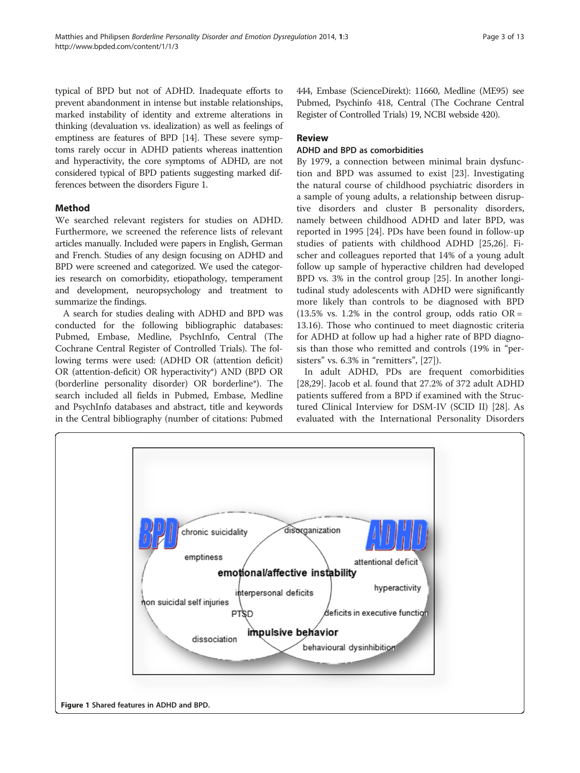typical of BPD but not of ADHD. Inadequate efforts to prevent abandonment in intense but instable relationships, marked instability of identity and extreme alterations in thinking (devaluation vs. idealization) as well as feelings of emptiness are features of BPD [\[14\]](#page-9-0). These severe symptoms rarely occur in ADHD patients whereas inattention and hyperactivity, the core symptoms of ADHD, are not considered typical of BPD patients suggesting marked differences between the disorders Figure 1.

# Method

We searched relevant registers for studies on ADHD. Furthermore, we screened the reference lists of relevant articles manually. Included were papers in English, German and French. Studies of any design focusing on ADHD and BPD were screened and categorized. We used the categories research on comorbidity, etiopathology, temperament and development, neuropsychology and treatment to summarize the findings.

A search for studies dealing with ADHD and BPD was conducted for the following bibliographic databases: Pubmed, Embase, Medline, PsychInfo, Central (The Cochrane Central Register of Controlled Trials). The following terms were used: (ADHD OR (attention deficit) OR (attention-deficit) OR hyperactivity\*) AND (BPD OR (borderline personality disorder) OR borderline\*). The search included all fields in Pubmed, Embase, Medline and PsychInfo databases and abstract, title and keywords in the Central bibliography (number of citations: Pubmed 444, Embase (ScienceDirekt): 11660, Medline (ME95) see Pubmed, Psychinfo 418, Central (The Cochrane Central Register of Controlled Trials) 19, NCBI webside 420).

# Review

## ADHD and BPD as comorbidities

By 1979, a connection between minimal brain dysfunction and BPD was assumed to exist [[23\]](#page-10-0). Investigating the natural course of childhood psychiatric disorders in a sample of young adults, a relationship between disruptive disorders and cluster B personality disorders, namely between childhood ADHD and later BPD, was reported in 1995 [[24](#page-10-0)]. PDs have been found in follow-up studies of patients with childhood ADHD [\[25,26\]](#page-10-0). Fischer and colleagues reported that 14% of a young adult follow up sample of hyperactive children had developed BPD vs. 3% in the control group [\[25](#page-10-0)]. In another longitudinal study adolescents with ADHD were significantly more likely than controls to be diagnosed with BPD  $(13.5\% \text{ vs. } 1.2\% \text{ in the control group, odds ratio OR} =$ 13.16). Those who continued to meet diagnostic criteria for ADHD at follow up had a higher rate of BPD diagnosis than those who remitted and controls (19% in "persisters" vs. 6.3% in "remitters", [[27\]](#page-10-0)).

In adult ADHD, PDs are frequent comorbidities [[28,29\]](#page-10-0). Jacob et al. found that 27.2% of 372 adult ADHD patients suffered from a BPD if examined with the Structured Clinical Interview for DSM-IV (SCID II) [[28](#page-10-0)]. As evaluated with the International Personality Disorders

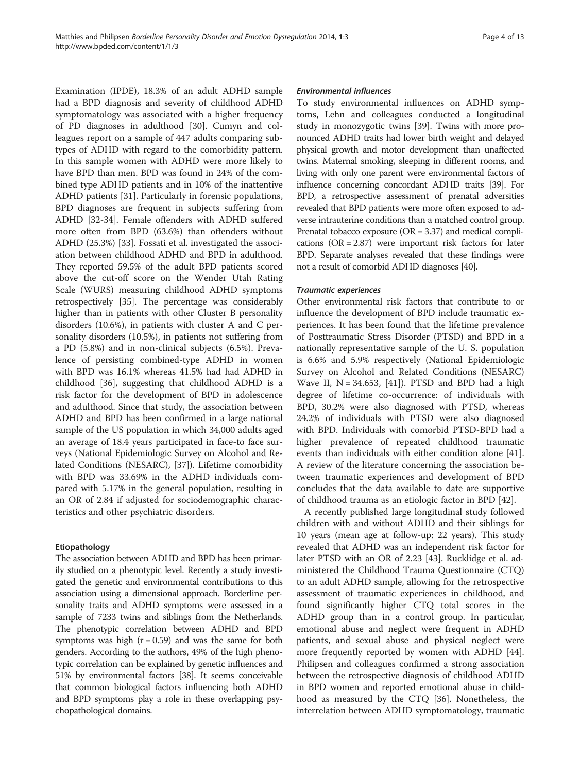Examination (IPDE), 18.3% of an adult ADHD sample had a BPD diagnosis and severity of childhood ADHD symptomatology was associated with a higher frequency of PD diagnoses in adulthood [[30\]](#page-10-0). Cumyn and colleagues report on a sample of 447 adults comparing subtypes of ADHD with regard to the comorbidity pattern. In this sample women with ADHD were more likely to have BPD than men. BPD was found in 24% of the combined type ADHD patients and in 10% of the inattentive ADHD patients [[31\]](#page-10-0). Particularly in forensic populations, BPD diagnoses are frequent in subjects suffering from ADHD [\[32](#page-10-0)-[34](#page-10-0)]. Female offenders with ADHD suffered more often from BPD (63.6%) than offenders without ADHD (25.3%) [[33](#page-10-0)]. Fossati et al. investigated the association between childhood ADHD and BPD in adulthood. They reported 59.5% of the adult BPD patients scored above the cut-off score on the Wender Utah Rating Scale (WURS) measuring childhood ADHD symptoms retrospectively [\[35](#page-10-0)]. The percentage was considerably higher than in patients with other Cluster B personality disorders (10.6%), in patients with cluster A and C personality disorders (10.5%), in patients not suffering from a PD (5.8%) and in non-clinical subjects (6.5%). Prevalence of persisting combined-type ADHD in women with BPD was 16.1% whereas 41.5% had had ADHD in childhood [[36\]](#page-10-0), suggesting that childhood ADHD is a risk factor for the development of BPD in adolescence and adulthood. Since that study, the association between ADHD and BPD has been confirmed in a large national sample of the US population in which 34,000 adults aged an average of 18.4 years participated in face-to face surveys (National Epidemiologic Survey on Alcohol and Related Conditions (NESARC), [[37\]](#page-10-0)). Lifetime comorbidity with BPD was 33.69% in the ADHD individuals compared with 5.17% in the general population, resulting in an OR of 2.84 if adjusted for sociodemographic characteristics and other psychiatric disorders.

### Etiopathology

The association between ADHD and BPD has been primarily studied on a phenotypic level. Recently a study investigated the genetic and environmental contributions to this association using a dimensional approach. Borderline personality traits and ADHD symptoms were assessed in a sample of 7233 twins and siblings from the Netherlands. The phenotypic correlation between ADHD and BPD symptoms was high  $(r = 0.59)$  and was the same for both genders. According to the authors, 49% of the high phenotypic correlation can be explained by genetic influences and 51% by environmental factors [[38](#page-10-0)]. It seems conceivable that common biological factors influencing both ADHD and BPD symptoms play a role in these overlapping psychopathological domains.

To study environmental influences on ADHD symptoms, Lehn and colleagues conducted a longitudinal study in monozygotic twins [[39](#page-10-0)]. Twins with more pronounced ADHD traits had lower birth weight and delayed physical growth and motor development than unaffected twins. Maternal smoking, sleeping in different rooms, and living with only one parent were environmental factors of influence concerning concordant ADHD traits [\[39\]](#page-10-0). For BPD, a retrospective assessment of prenatal adversities revealed that BPD patients were more often exposed to adverse intrauterine conditions than a matched control group. Prenatal tobacco exposure (OR = 3.37) and medical complications  $(OR = 2.87)$  were important risk factors for later BPD. Separate analyses revealed that these findings were not a result of comorbid ADHD diagnoses [[40\]](#page-10-0).

Other environmental risk factors that contribute to or influence the development of BPD include traumatic experiences. It has been found that the lifetime prevalence of Posttraumatic Stress Disorder (PTSD) and BPD in a nationally representative sample of the U. S. population is 6.6% and 5.9% respectively (National Epidemiologic Survey on Alcohol and Related Conditions (NESARC) Wave II,  $N = 34.653$ , [[41\]](#page-10-0)). PTSD and BPD had a high degree of lifetime co-occurrence: of individuals with BPD, 30.2% were also diagnosed with PTSD, whereas 24.2% of individuals with PTSD were also diagnosed with BPD. Individuals with comorbid PTSD-BPD had a higher prevalence of repeated childhood traumatic events than individuals with either condition alone [\[41](#page-10-0)]. A review of the literature concerning the association between traumatic experiences and development of BPD concludes that the data available to date are supportive of childhood trauma as an etiologic factor in BPD [\[42\]](#page-10-0).

A recently published large longitudinal study followed children with and without ADHD and their siblings for 10 years (mean age at follow-up: 22 years). This study revealed that ADHD was an independent risk factor for later PTSD with an OR of 2.23 [\[43\]](#page-10-0). Rucklidge et al. administered the Childhood Trauma Questionnaire (CTQ) to an adult ADHD sample, allowing for the retrospective assessment of traumatic experiences in childhood, and found significantly higher CTQ total scores in the ADHD group than in a control group. In particular, emotional abuse and neglect were frequent in ADHD patients, and sexual abuse and physical neglect were more frequently reported by women with ADHD [\[44](#page-10-0)]. Philipsen and colleagues confirmed a strong association between the retrospective diagnosis of childhood ADHD in BPD women and reported emotional abuse in childhood as measured by the CTQ [[36\]](#page-10-0). Nonetheless, the interrelation between ADHD symptomatology, traumatic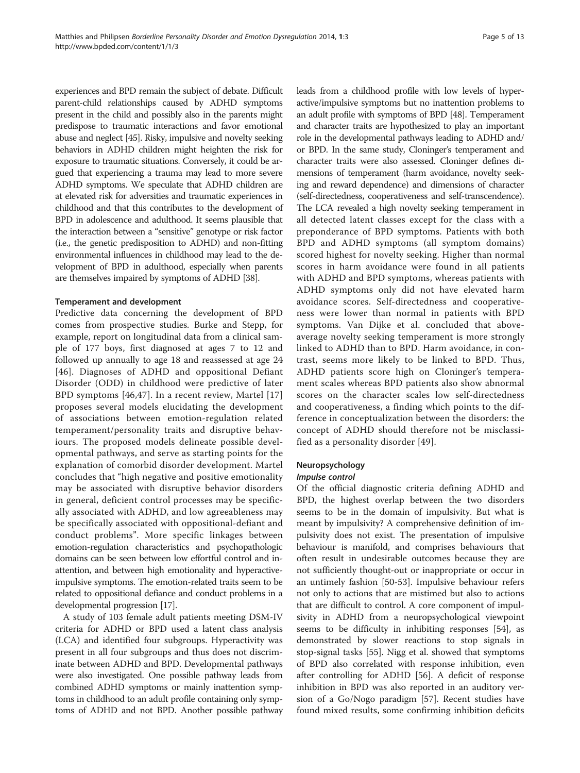experiences and BPD remain the subject of debate. Difficult parent-child relationships caused by ADHD symptoms present in the child and possibly also in the parents might predispose to traumatic interactions and favor emotional abuse and neglect [[45](#page-10-0)]. Risky, impulsive and novelty seeking behaviors in ADHD children might heighten the risk for exposure to traumatic situations. Conversely, it could be argued that experiencing a trauma may lead to more severe ADHD symptoms. We speculate that ADHD children are at elevated risk for adversities and traumatic experiences in childhood and that this contributes to the development of BPD in adolescence and adulthood. It seems plausible that the interaction between a "sensitive" genotype or risk factor (i.e., the genetic predisposition to ADHD) and non-fitting environmental influences in childhood may lead to the development of BPD in adulthood, especially when parents are themselves impaired by symptoms of ADHD [\[38\]](#page-10-0).

### Temperament and development

Predictive data concerning the development of BPD comes from prospective studies. Burke and Stepp, for example, report on longitudinal data from a clinical sample of 177 boys, first diagnosed at ages 7 to 12 and followed up annually to age 18 and reassessed at age 24 [[46](#page-10-0)]. Diagnoses of ADHD and oppositional Defiant Disorder (ODD) in childhood were predictive of later BPD symptoms [[46,47](#page-10-0)]. In a recent review, Martel [[17](#page-9-0)] proposes several models elucidating the development of associations between emotion-regulation related temperament/personality traits and disruptive behaviours. The proposed models delineate possible developmental pathways, and serve as starting points for the explanation of comorbid disorder development. Martel concludes that "high negative and positive emotionality may be associated with disruptive behavior disorders in general, deficient control processes may be specifically associated with ADHD, and low agreeableness may be specifically associated with oppositional-defiant and conduct problems". More specific linkages between emotion-regulation characteristics and psychopathologic domains can be seen between low effortful control and inattention, and between high emotionality and hyperactiveimpulsive symptoms. The emotion-related traits seem to be related to oppositional defiance and conduct problems in a developmental progression [\[17\]](#page-9-0).

A study of 103 female adult patients meeting DSM-IV criteria for ADHD or BPD used a latent class analysis (LCA) and identified four subgroups. Hyperactivity was present in all four subgroups and thus does not discriminate between ADHD and BPD. Developmental pathways were also investigated. One possible pathway leads from combined ADHD symptoms or mainly inattention symptoms in childhood to an adult profile containing only symptoms of ADHD and not BPD. Another possible pathway leads from a childhood profile with low levels of hyperactive/impulsive symptoms but no inattention problems to an adult profile with symptoms of BPD [\[48\]](#page-10-0). Temperament and character traits are hypothesized to play an important role in the developmental pathways leading to ADHD and/ or BPD. In the same study, Cloninger's temperament and character traits were also assessed. Cloninger defines dimensions of temperament (harm avoidance, novelty seeking and reward dependence) and dimensions of character (self-directedness, cooperativeness and self-transcendence). The LCA revealed a high novelty seeking temperament in all detected latent classes except for the class with a preponderance of BPD symptoms. Patients with both BPD and ADHD symptoms (all symptom domains) scored highest for novelty seeking. Higher than normal scores in harm avoidance were found in all patients with ADHD and BPD symptoms, whereas patients with ADHD symptoms only did not have elevated harm avoidance scores. Self-directedness and cooperativeness were lower than normal in patients with BPD symptoms. Van Dijke et al. concluded that aboveaverage novelty seeking temperament is more strongly linked to ADHD than to BPD. Harm avoidance, in contrast, seems more likely to be linked to BPD. Thus, ADHD patients score high on Cloninger's temperament scales whereas BPD patients also show abnormal scores on the character scales low self-directedness and cooperativeness, a finding which points to the difference in conceptualization between the disorders: the concept of ADHD should therefore not be misclassified as a personality disorder [\[49](#page-10-0)].

# Neuropsychology

Of the official diagnostic criteria defining ADHD and BPD, the highest overlap between the two disorders seems to be in the domain of impulsivity. But what is meant by impulsivity? A comprehensive definition of impulsivity does not exist. The presentation of impulsive behaviour is manifold, and comprises behaviours that often result in undesirable outcomes because they are not sufficiently thought-out or inappropriate or occur in an untimely fashion [\[50](#page-10-0)-[53](#page-10-0)]. Impulsive behaviour refers not only to actions that are mistimed but also to actions that are difficult to control. A core component of impulsivity in ADHD from a neuropsychological viewpoint seems to be difficulty in inhibiting responses [[54\]](#page-10-0), as demonstrated by slower reactions to stop signals in stop-signal tasks [[55\]](#page-10-0). Nigg et al. showed that symptoms of BPD also correlated with response inhibition, even after controlling for ADHD [[56](#page-10-0)]. A deficit of response inhibition in BPD was also reported in an auditory version of a Go/Nogo paradigm [[57](#page-10-0)]. Recent studies have found mixed results, some confirming inhibition deficits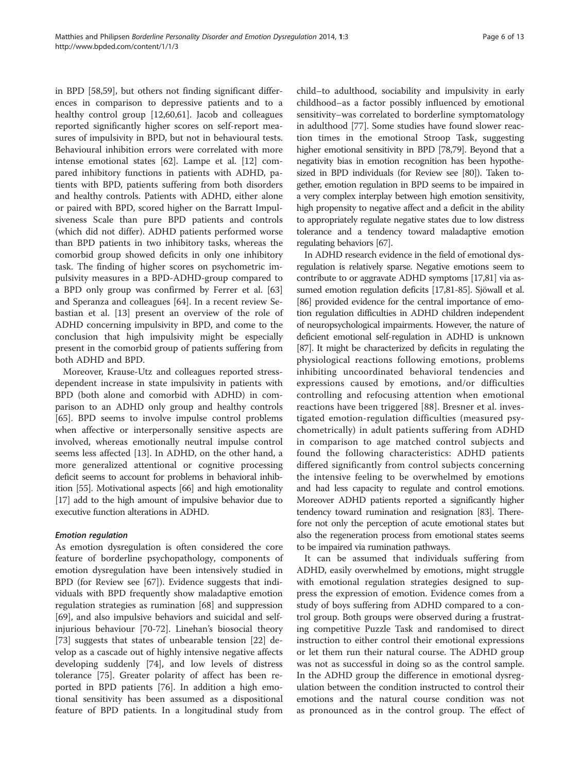in BPD [[58](#page-10-0),[59](#page-10-0)], but others not finding significant differences in comparison to depressive patients and to a healthy control group [[12,](#page-9-0)[60,61\]](#page-10-0). Jacob and colleagues reported significantly higher scores on self-report measures of impulsivity in BPD, but not in behavioural tests. Behavioural inhibition errors were correlated with more intense emotional states [[62\]](#page-10-0). Lampe et al. [\[12\]](#page-9-0) compared inhibitory functions in patients with ADHD, patients with BPD, patients suffering from both disorders and healthy controls. Patients with ADHD, either alone or paired with BPD, scored higher on the Barratt Impulsiveness Scale than pure BPD patients and controls (which did not differ). ADHD patients performed worse than BPD patients in two inhibitory tasks, whereas the comorbid group showed deficits in only one inhibitory task. The finding of higher scores on psychometric impulsivity measures in a BPD-ADHD-group compared to a BPD only group was confirmed by Ferrer et al. [[63](#page-11-0)] and Speranza and colleagues [\[64](#page-11-0)]. In a recent review Sebastian et al. [[13\]](#page-9-0) present an overview of the role of ADHD concerning impulsivity in BPD, and come to the conclusion that high impulsivity might be especially present in the comorbid group of patients suffering from both ADHD and BPD.

Moreover, Krause-Utz and colleagues reported stressdependent increase in state impulsivity in patients with BPD (both alone and comorbid with ADHD) in comparison to an ADHD only group and healthy controls [[65\]](#page-11-0). BPD seems to involve impulse control problems when affective or interpersonally sensitive aspects are involved, whereas emotionally neutral impulse control seems less affected [[13\]](#page-9-0). In ADHD, on the other hand, a more generalized attentional or cognitive processing deficit seems to account for problems in behavioral inhibition [\[55\]](#page-10-0). Motivational aspects [\[66](#page-11-0)] and high emotionality [[17](#page-9-0)] add to the high amount of impulsive behavior due to executive function alterations in ADHD.

As emotion dysregulation is often considered the core feature of borderline psychopathology, components of emotion dysregulation have been intensively studied in BPD (for Review see [[67\]](#page-11-0)). Evidence suggests that individuals with BPD frequently show maladaptive emotion regulation strategies as rumination [\[68](#page-11-0)] and suppression [[69\]](#page-11-0), and also impulsive behaviors and suicidal and selfinjurious behaviour [[70-72\]](#page-11-0). Linehan's biosocial theory [[73\]](#page-11-0) suggests that states of unbearable tension [\[22](#page-10-0)] develop as a cascade out of highly intensive negative affects developing suddenly [\[74\]](#page-11-0), and low levels of distress tolerance [[75](#page-11-0)]. Greater polarity of affect has been reported in BPD patients [[76\]](#page-11-0). In addition a high emotional sensitivity has been assumed as a dispositional feature of BPD patients. In a longitudinal study from

child–to adulthood, sociability and impulsivity in early childhood–as a factor possibly influenced by emotional sensitivity–was correlated to borderline symptomatology in adulthood [[77\]](#page-11-0). Some studies have found slower reaction times in the emotional Stroop Task, suggesting higher emotional sensitivity in BPD [\[78,79](#page-11-0)]. Beyond that a negativity bias in emotion recognition has been hypothesized in BPD individuals (for Review see [[80\]](#page-11-0)). Taken together, emotion regulation in BPD seems to be impaired in a very complex interplay between high emotion sensitivity, high propensity to negative affect and a deficit in the ability to appropriately regulate negative states due to low distress tolerance and a tendency toward maladaptive emotion regulating behaviors [\[67](#page-11-0)].

In ADHD research evidence in the field of emotional dysregulation is relatively sparse. Negative emotions seem to contribute to or aggravate ADHD symptoms [[17](#page-9-0)[,81](#page-11-0)] via assumed emotion regulation deficits [[17,](#page-9-0)[81](#page-11-0)-[85](#page-11-0)]. Sjöwall et al. [[86](#page-11-0)] provided evidence for the central importance of emotion regulation difficulties in ADHD children independent of neuropsychological impairments. However, the nature of deficient emotional self-regulation in ADHD is unknown [[87](#page-11-0)]. It might be characterized by deficits in regulating the physiological reactions following emotions, problems inhibiting uncoordinated behavioral tendencies and expressions caused by emotions, and/or difficulties controlling and refocusing attention when emotional reactions have been triggered [[88\]](#page-11-0). Bresner et al. investigated emotion-regulation difficulties (measured psychometrically) in adult patients suffering from ADHD in comparison to age matched control subjects and found the following characteristics: ADHD patients differed significantly from control subjects concerning the intensive feeling to be overwhelmed by emotions and had less capacity to regulate and control emotions. Moreover ADHD patients reported a significantly higher tendency toward rumination and resignation [\[83\]](#page-11-0). Therefore not only the perception of acute emotional states but also the regeneration process from emotional states seems to be impaired via rumination pathways.

It can be assumed that individuals suffering from ADHD, easily overwhelmed by emotions, might struggle with emotional regulation strategies designed to suppress the expression of emotion. Evidence comes from a study of boys suffering from ADHD compared to a control group. Both groups were observed during a frustrating competitive Puzzle Task and randomised to direct instruction to either control their emotional expressions or let them run their natural course. The ADHD group was not as successful in doing so as the control sample. In the ADHD group the difference in emotional dysregulation between the condition instructed to control their emotions and the natural course condition was not as pronounced as in the control group. The effect of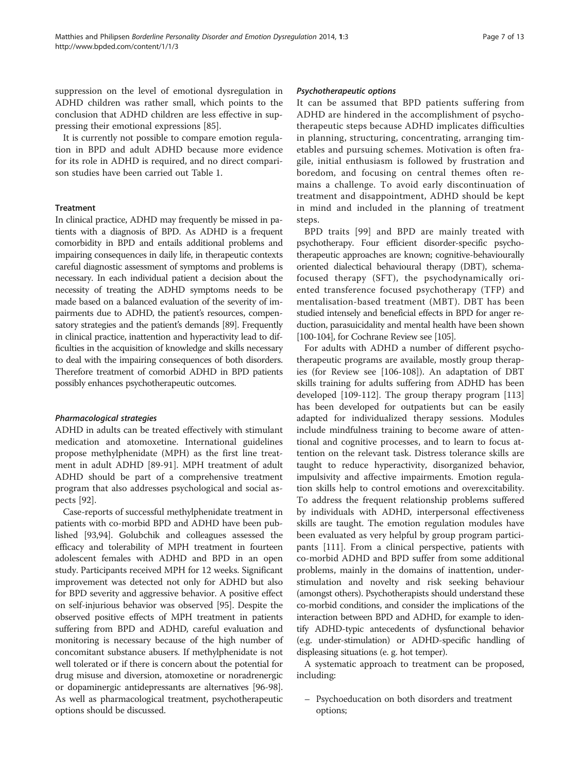suppression on the level of emotional dysregulation in ADHD children was rather small, which points to the conclusion that ADHD children are less effective in suppressing their emotional expressions [\[85\]](#page-11-0).

It is currently not possible to compare emotion regulation in BPD and adult ADHD because more evidence for its role in ADHD is required, and no direct comparison studies have been carried out Table [1.](#page-7-0)

### **Treatment**

In clinical practice, ADHD may frequently be missed in patients with a diagnosis of BPD. As ADHD is a frequent comorbidity in BPD and entails additional problems and impairing consequences in daily life, in therapeutic contexts careful diagnostic assessment of symptoms and problems is necessary. In each individual patient a decision about the necessity of treating the ADHD symptoms needs to be made based on a balanced evaluation of the severity of impairments due to ADHD, the patient's resources, compensatory strategies and the patient's demands [\[89\]](#page-11-0). Frequently in clinical practice, inattention and hyperactivity lead to difficulties in the acquisition of knowledge and skills necessary to deal with the impairing consequences of both disorders. Therefore treatment of comorbid ADHD in BPD patients possibly enhances psychotherapeutic outcomes.

ADHD in adults can be treated effectively with stimulant medication and atomoxetine. International guidelines propose methylphenidate (MPH) as the first line treatment in adult ADHD [[89-91](#page-11-0)]. MPH treatment of adult ADHD should be part of a comprehensive treatment program that also addresses psychological and social aspects [[92\]](#page-11-0).

Case-reports of successful methylphenidate treatment in patients with co-morbid BPD and ADHD have been published [\[93,94\]](#page-11-0). Golubchik and colleagues assessed the efficacy and tolerability of MPH treatment in fourteen adolescent females with ADHD and BPD in an open study. Participants received MPH for 12 weeks. Significant improvement was detected not only for ADHD but also for BPD severity and aggressive behavior. A positive effect on self-injurious behavior was observed [[95](#page-11-0)]. Despite the observed positive effects of MPH treatment in patients suffering from BPD and ADHD, careful evaluation and monitoring is necessary because of the high number of concomitant substance abusers. If methylphenidate is not well tolerated or if there is concern about the potential for drug misuse and diversion, atomoxetine or noradrenergic or dopaminergic antidepressants are alternatives [[96](#page-11-0)-[98](#page-11-0)]. As well as pharmacological treatment, psychotherapeutic options should be discussed.

It can be assumed that BPD patients suffering from ADHD are hindered in the accomplishment of psychotherapeutic steps because ADHD implicates difficulties in planning, structuring, concentrating, arranging timetables and pursuing schemes. Motivation is often fragile, initial enthusiasm is followed by frustration and boredom, and focusing on central themes often remains a challenge. To avoid early discontinuation of treatment and disappointment, ADHD should be kept in mind and included in the planning of treatment steps.

BPD traits [[99](#page-11-0)] and BPD are mainly treated with psychotherapy. Four efficient disorder-specific psychotherapeutic approaches are known; cognitive-behaviourally oriented dialectical behavioural therapy (DBT), schemafocused therapy (SFT), the psychodynamically oriented transference focused psychotherapy (TFP) and mentalisation-based treatment (MBT). DBT has been studied intensely and beneficial effects in BPD for anger reduction, parasuicidality and mental health have been shown [[100-104](#page-11-0)], for Cochrane Review see [\[105](#page-11-0)].

For adults with ADHD a number of different psychotherapeutic programs are available, mostly group therapies (for Review see [[106](#page-11-0)-[108\]](#page-12-0)). An adaptation of DBT skills training for adults suffering from ADHD has been developed [\[109-112](#page-12-0)]. The group therapy program [[113](#page-12-0)] has been developed for outpatients but can be easily adapted for individualized therapy sessions. Modules include mindfulness training to become aware of attentional and cognitive processes, and to learn to focus attention on the relevant task. Distress tolerance skills are taught to reduce hyperactivity, disorganized behavior, impulsivity and affective impairments. Emotion regulation skills help to control emotions and overexcitability. To address the frequent relationship problems suffered by individuals with ADHD, interpersonal effectiveness skills are taught. The emotion regulation modules have been evaluated as very helpful by group program participants [[111\]](#page-12-0). From a clinical perspective, patients with co-morbid ADHD and BPD suffer from some additional problems, mainly in the domains of inattention, understimulation and novelty and risk seeking behaviour (amongst others). Psychotherapists should understand these co-morbid conditions, and consider the implications of the interaction between BPD and ADHD, for example to identify ADHD-typic antecedents of dysfunctional behavior (e.g. under-stimulation) or ADHD-specific handling of displeasing situations (e. g. hot temper).

A systematic approach to treatment can be proposed, including:

– Psychoeducation on both disorders and treatment options;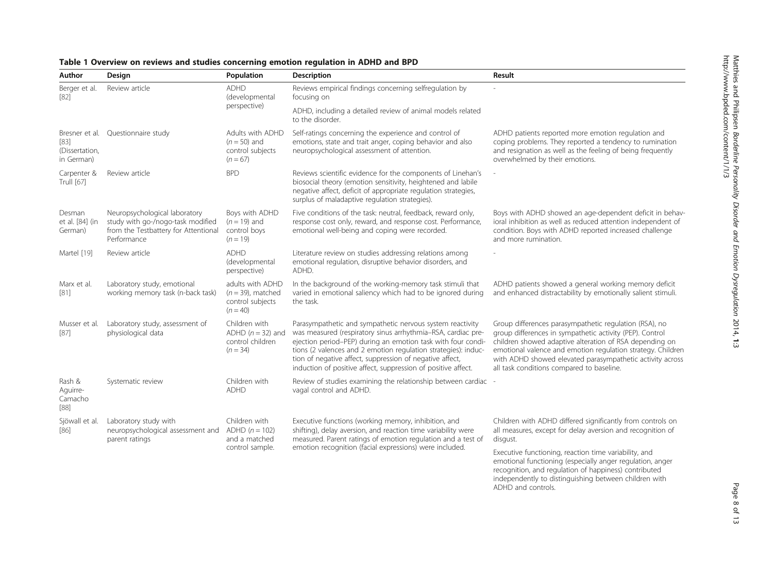| Author                                  | Design                                                                                                                    | Population                                                                 | <b>Description</b>                                                                                                                                                                                                                                                                                                                                                                       | Result                                                                                                                                                                                                                                                                                                                                                 |
|-----------------------------------------|---------------------------------------------------------------------------------------------------------------------------|----------------------------------------------------------------------------|------------------------------------------------------------------------------------------------------------------------------------------------------------------------------------------------------------------------------------------------------------------------------------------------------------------------------------------------------------------------------------------|--------------------------------------------------------------------------------------------------------------------------------------------------------------------------------------------------------------------------------------------------------------------------------------------------------------------------------------------------------|
| Berger et al.<br>$[82]$                 | Review article                                                                                                            | <b>ADHD</b><br>(developmental<br>perspective)                              | Reviews empirical findings concerning selfregulation by<br>focusing on                                                                                                                                                                                                                                                                                                                   |                                                                                                                                                                                                                                                                                                                                                        |
|                                         |                                                                                                                           |                                                                            | ADHD, including a detailed review of animal models related<br>to the disorder.                                                                                                                                                                                                                                                                                                           |                                                                                                                                                                                                                                                                                                                                                        |
| $[83]$<br>(Dissertation,<br>in German)  | Bresner et al. Questionnaire study                                                                                        | Adults with ADHD<br>$(n=50)$ and<br>control subjects<br>$(n = 67)$         | Self-ratings concerning the experience and control of<br>emotions, state and trait anger, coping behavior and also<br>neuropsychological assessment of attention.                                                                                                                                                                                                                        | ADHD patients reported more emotion regulation and<br>coping problems. They reported a tendency to rumination<br>and resignation as well as the feeling of being frequently<br>overwhelmed by their emotions.                                                                                                                                          |
| Carpenter &<br>Trull [67]               | Review article                                                                                                            | <b>BPD</b>                                                                 | Reviews scientific evidence for the components of Linehan's<br>biosocial theory (emotion sensitivity, heightened and labile<br>negative affect, deficit of appropriate regulation strategies,<br>surplus of maladaptive regulation strategies).                                                                                                                                          |                                                                                                                                                                                                                                                                                                                                                        |
| Desman<br>et al. [84] (in<br>German)    | Neuropsychological laboratory<br>study with go-/nogo-task modified<br>from the Testbattery for Attentional<br>Performance | Boys with ADHD<br>$(n = 19)$ and<br>control boys<br>$(n = 19)$             | Five conditions of the task: neutral, feedback, reward only,<br>response cost only, reward, and response cost. Performance,<br>emotional well-being and coping were recorded.                                                                                                                                                                                                            | Boys with ADHD showed an age-dependent deficit in behav-<br>ioral inhibition as well as reduced attention independent of<br>condition. Boys with ADHD reported increased challenge<br>and more rumination.                                                                                                                                             |
| Martel [19]                             | Review article                                                                                                            | <b>ADHD</b><br>(developmental<br>perspective)                              | Literature review on studies addressing relations among<br>emotional regulation, disruptive behavior disorders, and<br>ADHD.                                                                                                                                                                                                                                                             |                                                                                                                                                                                                                                                                                                                                                        |
| Marx et al.<br>$[81]$                   | Laboratory study, emotional<br>working memory task (n-back task)                                                          | adults with ADHD<br>$(n = 39)$ , matched<br>control subjects<br>$(n = 40)$ | In the background of the working-memory task stimuli that<br>varied in emotional saliency which had to be ignored during<br>the task.                                                                                                                                                                                                                                                    | ADHD patients showed a general working memory deficit<br>and enhanced distractability by emotionally salient stimuli.                                                                                                                                                                                                                                  |
| Musser et al.<br>[87]                   | Laboratory study, assessment of<br>physiological data                                                                     | Children with<br>ADHD $(n = 32)$ and<br>control children<br>$(n = 34)$     | Parasympathetic and sympathetic nervous system reactivity<br>was measured (respiratory sinus arrhythmia-RSA, cardiac pre-<br>ejection period-PEP) during an emotion task with four condi-<br>tions (2 valences and 2 emotion regulation strategies): induc-<br>tion of negative affect, suppression of negative affect,<br>induction of positive affect, suppression of positive affect. | Group differences parasympathetic regulation (RSA), no<br>group differences in sympathetic activity (PEP). Control<br>children showed adaptive alteration of RSA depending on<br>emotional valence and emotion regulation strategy. Children<br>with ADHD showed elevated parasympathetic activity across<br>all task conditions compared to baseline. |
| Rash &<br>Aguirre-<br>Camacho<br>$[88]$ | Systematic review                                                                                                         | Children with<br><b>ADHD</b>                                               | Review of studies examining the relationship between cardiac -<br>vagal control and ADHD.                                                                                                                                                                                                                                                                                                |                                                                                                                                                                                                                                                                                                                                                        |
| Sjöwall et al.<br>[86]                  | Laboratory study with<br>neuropsychological assessment and<br>parent ratings                                              | Children with<br>$ADHD (n = 102)$<br>and a matched<br>control sample.      | Executive functions (working memory, inhibition, and<br>shifting), delay aversion, and reaction time variability were<br>measured. Parent ratings of emotion regulation and a test of<br>emotion recognition (facial expressions) were included.                                                                                                                                         | Children with ADHD differed significantly from controls on<br>all measures, except for delay aversion and recognition of<br>disgust.                                                                                                                                                                                                                   |
|                                         |                                                                                                                           |                                                                            |                                                                                                                                                                                                                                                                                                                                                                                          | Executive functioning, reaction time variability, and<br>emotional functioning (especially anger regulation, anger                                                                                                                                                                                                                                     |

# <span id="page-7-0"></span>Table 1 Overview on reviews and studies concerning emotion regulation in ADHD and BPD

recognition, and regulation of happiness) contributed independently to distinguishing between children with

ADHD and controls.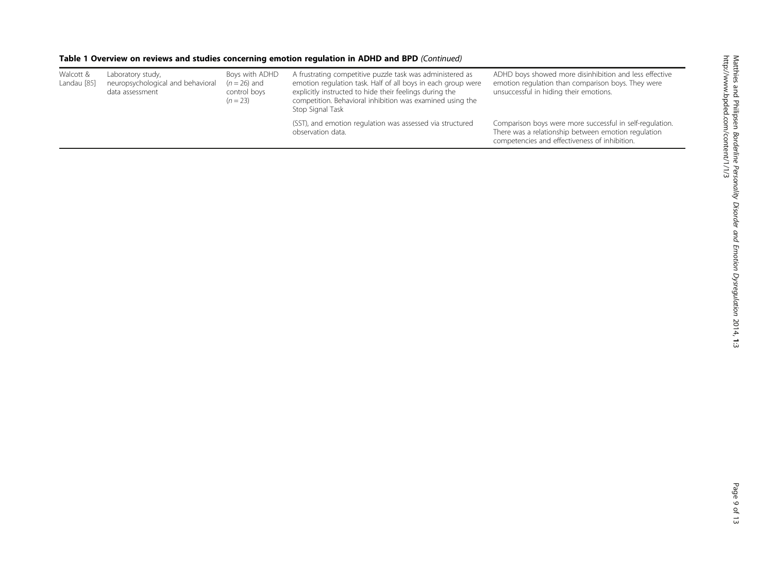# Table 1 Overview on reviews and studies concerning emotion regulation in ADHD and BPD (Continued)

| Walcott &<br>Landau [85] | Laboratory study,<br>neuropsychological and behavioral<br>data assessment | Boys with ADHD<br>$(n=26)$ and<br>control boys<br>$(n=23)$ | A frustrating competitive puzzle task was administered as<br>emotion regulation task. Half of all boys in each group were<br>explicitly instructed to hide their feelings during the<br>competition. Behavioral inhibition was examined using the<br>Stop Signal Task | ADHD boys showed more disinhibition and less effective<br>emotion regulation than comparison boys. They were<br>unsuccessful in hiding their emotions.           |
|--------------------------|---------------------------------------------------------------------------|------------------------------------------------------------|-----------------------------------------------------------------------------------------------------------------------------------------------------------------------------------------------------------------------------------------------------------------------|------------------------------------------------------------------------------------------------------------------------------------------------------------------|
|                          |                                                                           |                                                            | (SST), and emotion regulation was assessed via structured<br>observation data.                                                                                                                                                                                        | Comparison boys were more successful in self-regulation.<br>There was a relationship between emotion regulation<br>competencies and effectiveness of inhibition. |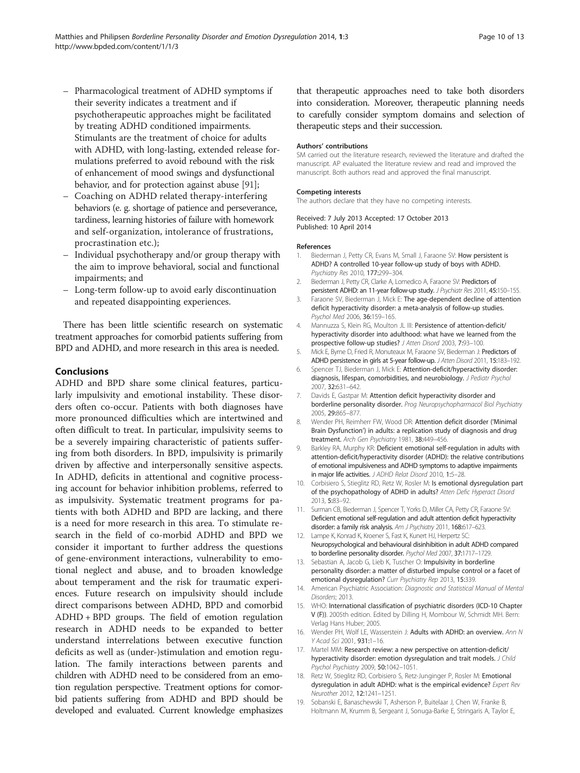- <span id="page-9-0"></span>– Pharmacological treatment of ADHD symptoms if their severity indicates a treatment and if psychotherapeutic approaches might be facilitated by treating ADHD conditioned impairments. Stimulants are the treatment of choice for adults with ADHD, with long-lasting, extended release formulations preferred to avoid rebound with the risk of enhancement of mood swings and dysfunctional behavior, and for protection against abuse [[91](#page-11-0)];
- Coaching on ADHD related therapy-interfering behaviors (e. g. shortage of patience and perseverance, tardiness, learning histories of failure with homework and self-organization, intolerance of frustrations, procrastination etc.);
- Individual psychotherapy and/or group therapy with the aim to improve behavioral, social and functional impairments; and
- Long-term follow-up to avoid early discontinuation and repeated disappointing experiences.

There has been little scientific research on systematic treatment approaches for comorbid patients suffering from BPD and ADHD, and more research in this area is needed.

### Conclusions

ADHD and BPD share some clinical features, particularly impulsivity and emotional instability. These disorders often co-occur. Patients with both diagnoses have more pronounced difficulties which are intertwined and often difficult to treat. In particular, impulsivity seems to be a severely impairing characteristic of patients suffering from both disorders. In BPD, impulsivity is primarily driven by affective and interpersonally sensitive aspects. In ADHD, deficits in attentional and cognitive processing account for behavior inhibition problems, referred to as impulsivity. Systematic treatment programs for patients with both ADHD and BPD are lacking, and there is a need for more research in this area. To stimulate research in the field of co-morbid ADHD and BPD we consider it important to further address the questions of gene-environment interactions, vulnerability to emotional neglect and abuse, and to broaden knowledge about temperament and the risk for traumatic experiences. Future research on impulsivity should include direct comparisons between ADHD, BPD and comorbid ADHD + BPD groups. The field of emotion regulation research in ADHD needs to be expanded to better understand interrelations between executive function deficits as well as (under-)stimulation and emotion regulation. The family interactions between parents and children with ADHD need to be considered from an emotion regulation perspective. Treatment options for comorbid patients suffering from ADHD and BPD should be developed and evaluated. Current knowledge emphasizes

that therapeutic approaches need to take both disorders into consideration. Moreover, therapeutic planning needs to carefully consider symptom domains and selection of therapeutic steps and their succession.

### Authors' contributions

SM carried out the literature research, reviewed the literature and drafted the manuscript. AP evaluated the literature review and read and improved the manuscript. Both authors read and approved the final manuscript.

### Competing interests

The authors declare that they have no competing interests.

Received: 7 July 2013 Accepted: 17 October 2013 Published: 10 April 2014

### References

- 1. Biederman J, Petty CR, Evans M, Small J, Faraone SV: How persistent is ADHD? A controlled 10-year follow-up study of boys with ADHD. Psychiatry Res 2010, 177:299–304.
- 2. Biederman J, Petty CR, Clarke A, Lomedico A, Faraone SV: Predictors of persistent ADHD: an 11-year follow-up study. J Psychiatr Res 2011, 45:150-155.
- 3. Faraone SV, Biederman J, Mick E: The age-dependent decline of attention deficit hyperactivity disorder: a meta-analysis of follow-up studies. Psychol Med 2006, 36:159–165.
- 4. Mannuzza S, Klein RG, Moulton JL III: Persistence of attention-deficit/ hyperactivity disorder into adulthood: what have we learned from the prospective follow-up studies? J Atten Disord 2003, 7:93–100.
- 5. Mick E, Byrne D, Fried R, Monuteaux M, Faraone SV, Biederman J: Predictors of ADHD persistence in girls at 5-year follow-up. J Atten Disord 2011, 15:183–192.
- 6. Spencer TJ, Biederman J, Mick E: Attention-deficit/hyperactivity disorder: diagnosis, lifespan, comorbidities, and neurobiology. J Pediatr Psychol 2007, 32:631–642.
- 7. Davids E, Gastpar M: Attention deficit hyperactivity disorder and borderline personality disorder. Prog Neuropsychopharmacol Biol Psychiatry 2005, 29:865–877.
- 8. Wender PH, Reimherr FW, Wood DR: Attention deficit disorder ('Minimal Brain Dysfunction') in adults: a replication study of diagnosis and drug treatment. Arch Gen Psychiatry 1981, 38:449-456.
- 9. Barkley RA, Murphy KR: Deficient emotional self-regulation in adults with attention-deficit/hyperactivity disorder (ADHD): the relative contributions of emotional impulsiveness and ADHD symptoms to adaptive impairments in major life activities. J ADHD Relat Disord 2010, 1:5–28.
- 10. Corbisiero S, Stieglitz RD, Retz W, Rosler M: Is emotional dysregulation part of the psychopathology of ADHD in adults? Atten Defic Hyperact Disord 2013, 5:83–92.
- 11. Surman CB, Biederman J, Spencer T, Yorks D, Miller CA, Petty CR, Faraone SV: Deficient emotional self-regulation and adult attention deficit hyperactivity disorder: a family risk analysis. Am J Psychiatry 2011, 168:617-623.
- 12. Lampe K, Konrad K, Kroener S, Fast K, Kunert HJ, Herpertz SC: Neuropsychological and behavioural disinhibition in adult ADHD compared to borderline personality disorder. Psychol Med 2007, 37:1717–1729.
- 13. Sebastian A, Jacob G, Lieb K, Tuscher O: Impulsivity in borderline personality disorder: a matter of disturbed impulse control or a facet of emotional dysregulation? Curr Psychiatry Rep 2013, 15:339.
- 14. American Psychiatric Association: Diagnostic and Statistical Manual of Mental Disorders; 2013.
- 15. WHO: International classification of psychiatric disorders (ICD-10 Chapter V (F)). 2005th edition. Edited by Dilling H, Mombour W, Schmidt MH. Bern: Verlag Hans Huber; 2005.
- 16. Wender PH, Wolf LE, Wasserstein J: Adults with ADHD: an overview. Ann N Y Acad Sci 2001, 931:1–16.
- 17. Martel MM: Research review: a new perspective on attention-deficit/ hyperactivity disorder: emotion dysregulation and trait models. J Child Psychol Psychiatry 2009, 50:1042–1051.
- 18. Retz W, Stieglitz RD, Corbisiero S, Retz-Junginger P, Rosler M: Emotional dysregulation in adult ADHD: what is the empirical evidence? Expert Rev Neurother 2012, 12:1241–1251.
- 19. Sobanski E, Banaschewski T, Asherson P, Buitelaar J, Chen W, Franke B, Holtmann M, Krumm B, Sergeant J, Sonuga-Barke E, Stringaris A, Taylor E,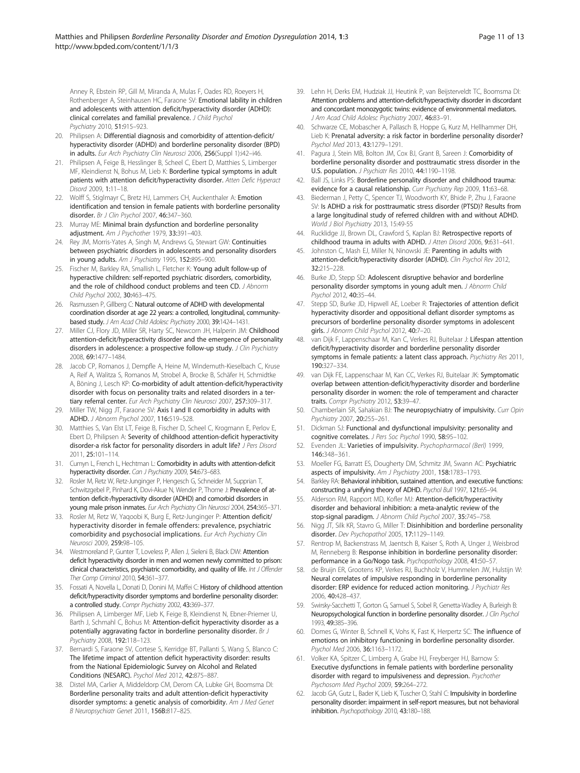<span id="page-10-0"></span>Anney R, Ebstein RP, Gill M, Miranda A, Mulas F, Oades RD, Roeyers H, Rothenberger A, Steinhausen HC, Faraone SV: Emotional lability in children and adolescents with attention deficit/hyperactivity disorder (ADHD): clinical correlates and familial prevalence. J Child Psychol Psychiatry 2010, 51:915–923.

- 20. Philipsen A: Differential diagnosis and comorbidity of attention-deficit/ hyperactivity disorder (ADHD) and borderline personality disorder (BPD) in adults. Eur Arch Psychiatry Clin Neurosci 2006, 256(Suppl 1):i42-i46.
- 21. Philipsen A, Feige B, Hesslinger B, Scheel C, Ebert D, Matthies S, Limberger MF, Kleindienst N, Bohus M, Lieb K: Borderline typical symptoms in adult patients with attention deficit/hyperactivity disorder. Atten Defic Hyperact Disord 2009, 1:11–18.
- 22. Wolff S, Stiglmayr C, Bretz HJ, Lammers CH, Auckenthaler A: Emotion identification and tension in female patients with borderline personality disorder. Br J Clin Psychol 2007, 46:347–360.
- 23. Murray ME: Minimal brain dysfunction and borderline personality adjustment. Am J Psychother 1979, 33:391-403.
- 24. Rey JM, Morris-Yates A, Singh M, Andrews G, Stewart GW: Continuities between psychiatric disorders in adolescents and personality disorders in young adults. Am J Psychiatry 1995, 152:895-900.
- 25. Fischer M, Barkley RA, Smallish L, Fletcher K: Young adult follow-up of hyperactive children: self-reported psychiatric disorders, comorbidity, and the role of childhood conduct problems and teen CD. J Abnorm Child Psychol 2002, 30:463–475.
- 26. Rasmussen P, Gillberg C: Natural outcome of ADHD with developmental coordination disorder at age 22 years: a controlled, longitudinal, communitybased study. J Am Acad Child Adolesc Psychiatry 2000, 39:1424–1431.
- 27. Miller CJ, Flory JD, Miller SR, Harty SC, Newcorn JH, Halperin JM: Childhood attention-deficit/hyperactivity disorder and the emergence of personality disorders in adolescence: a prospective follow-up study. J Clin Psychiatry 2008, 69:1477–1484.
- 28. Jacob CP, Romanos J, Dempfle A, Heine M, Windemuth-Kieselbach C, Kruse A, Reif A, Walitza S, Romanos M, Strobel A, Brocke B, Schäfer H, Schmidtke A, Böning J, Lesch KP: Co-morbidity of adult attention-deficit/hyperactivity disorder with focus on personality traits and related disorders in a tertiary referral center. Eur Arch Psychiatry Clin Neurosci 2007, 257:309-317.
- 29. Miller TW, Nigg JT, Faraone SV: Axis I and II comorbidity in adults with ADHD. J Abnorm Psychol 2007, 116:519–528.
- 30. Matthies S, Van Elst LT, Feige B, Fischer D, Scheel C, Krogmann E, Perlov E, Ebert D, Philipsen A: Severity of childhood attention-deficit hyperactivity disorder-a risk factor for personality disorders in adult life? J Pers Disord 2011, 25:101–114.
- 31. Cumyn L, French L, Hechtman L: Comorbidity in adults with attention-deficit hyperactivity disorder. Can J Psychiatry 2009, 54:673-683.
- 32. Rosler M, Retz W, Retz-Junginger P, Hengesch G, Schneider M, Supprian T, Schwitzgebel P, Pinhard K, Dovi-Akue N, Wender P, Thome J: Prevalence of attention deficit-/hyperactivity disorder (ADHD) and comorbid disorders in young male prison inmates. Eur Arch Psychiatry Clin Neurosci 2004, 254:365–371.
- 33. Rosler M, Retz W, Yaqoobi K, Burg E, Retz-Junginger P: Attention deficit/ hyperactivity disorder in female offenders: prevalence, psychiatric comorbidity and psychosocial implications. Eur Arch Psychiatry Clin Neurosci 2009, 259:98–105.
- 34. Westmoreland P, Gunter T, Loveless P, Allen J, Sieleni B, Black DW: Attention deficit hyperactivity disorder in men and women newly committed to prison: clinical characteristics, psychiatric comorbidity, and quality of life. Int J Offender Ther Comp Criminol 2010, 54:361–377.
- 35. Fossati A, Novella L, Donati D, Donini M, Maffei C: History of childhood attention deficit/hyperactivity disorder symptoms and borderline personality disorder: a controlled study. Compr Psychiatry 2002, 43:369–377.
- 36. Philipsen A, Limberger MF, Lieb K, Feige B, Kleindienst N, Ebner-Priemer U, Barth J, Schmahl C, Bohus M: Attention-deficit hyperactivity disorder as a potentially aggravating factor in borderline personality disorder. Br J Psychiatry 2008, 192:118–123.
- 37. Bernardi S, Faraone SV, Cortese S, Kerridge BT, Pallanti S, Wang S, Blanco C: The lifetime impact of attention deficit hyperactivity disorder: results from the National Epidemiologic Survey on Alcohol and Related Conditions (NESARC). Psychol Med 2012, 42:875–887.
- 38. Distel MA, Carlier A, Middeldorp CM, Derom CA, Lubke GH, Boomsma DI: Borderline personality traits and adult attention-deficit hyperactivity disorder symptoms: a genetic analysis of comorbidity. Am J Med Genet B Neuropsychiatr Genet 2011, 156B:817–825.
- 39. Lehn H, Derks EM, Hudziak JJ, Heutink P, van Beijsterveldt TC, Boomsma DI: Attention problems and attention-deficit/hyperactivity disorder in discordant and concordant monozygotic twins: evidence of environmental mediators. J Am Acad Child Adolesc Psychiatry 2007, 46:83-91.
- 40. Schwarze CE, Mobascher A, Pallasch B, Hoppe G, Kurz M, Hellhammer DH, Lieb K: Prenatal adversity: a risk factor in borderline personality disorder? Psychol Med 2013, 43:1279–1291.
- 41. Pagura J, Stein MB, Bolton JM, Cox BJ, Grant B, Sareen J: Comorbidity of borderline personality disorder and posttraumatic stress disorder in the U.S. population. J Psychiatr Res 2010, 44:1190-1198.
- 42. Ball JS, Links PS: Borderline personality disorder and childhood trauma: evidence for a causal relationship. Curr Psychiatry Rep 2009, 11:63–68.
- 43. Biederman J, Petty C, Spencer TJ, Woodworth KY, Bhide P, Zhu J, Faraone SV: Is ADHD a risk for posttraumatic stress disorder (PTSD)? Results from a large longitudinal study of referred children with and without ADHD. World J Biol Psychiatry 2013, 15:49-55
- 44. Rucklidge JJ, Brown DL, Crawford S, Kaplan BJ: Retrospective reports of childhood trauma in adults with ADHD. J Atten Disord 2006, 9:631–641.
- 45. Johnston C, Mash EJ, Miller N, Ninowski JE: Parenting in adults with attention-deficit/hyperactivity disorder (ADHD). Clin Psychol Rev 2012, 32:215–228.
- 46. Burke JD, Stepp SD: Adolescent disruptive behavior and borderline personality disorder symptoms in young adult men. J Abnorm Child Psychol 2012, 40:35–44.
- 47. Stepp SD, Burke JD, Hipwell AE, Loeber R: Trajectories of attention deficit hyperactivity disorder and oppositional defiant disorder symptoms as precursors of borderline personality disorder symptoms in adolescent girls. J Abnorm Child Psychol 2012, 40:7-20.
- 48. van Dijk F, Lappenschaar M, Kan C, Verkes RJ, Buitelaar J: Lifespan attention deficit/hyperactivity disorder and borderline personality disorder symptoms in female patients: a latent class approach. Psychiatry Res 2011, 190:327–334.
- 49. van Dijk FE, Lappenschaar M, Kan CC, Verkes RJ, Buitelaar JK: Symptomatic overlap between attention-deficit/hyperactivity disorder and borderline personality disorder in women: the role of temperament and character traits. Compr Psychiatry 2012, 53:39-47.
- 50. Chamberlain SR, Sahakian BJ: The neuropsychiatry of impulsivity. Curr Opin Psychiatry 2007, 20:255–261.
- 51. Dickman SJ: Functional and dysfunctional impulsivity: personality and cognitive correlates. J Pers Soc Psychol 1990, 58:95-102.
- 52. Evenden JL: Varieties of impulsivity. Psychopharmacol (Berl) 1999, 146:348–361.
- 53. Moeller FG, Barratt ES, Dougherty DM, Schmitz JM, Swann AC: Psychiatric aspects of impulsivity. Am J Psychiatry 2001, 158:1783-1793.
- 54. Barkley RA: Behavioral inhibition, sustained attention, and executive functions: constructing a unifying theory of ADHD. Psychol Bull 1997, 121:65–94.
- 55. Alderson RM, Rapport MD, Kofler MJ: Attention-deficit/hyperactivity disorder and behavioral inhibition: a meta-analytic review of the stop-signal paradigm. J Abnorm Child Psychol 2007, 35:745–758.
- 56. Nigg JT, Silk KR, Stavro G, Miller T: Disinhibition and borderline personality disorder. Dev Psychopathol 2005, 17:1129–1149.
- 57. Rentrop M, Backenstrass M, Jaentsch B, Kaiser S, Roth A, Unger J, Weisbrod M, Renneberg B: Response inhibition in borderline personality disorder: performance in a Go/Nogo task. Psychopathology 2008, 41:50-57
- 58. de Bruijn ER, Grootens KP, Verkes RJ, Buchholz V, Hummelen JW, Hulstijn W: Neural correlates of impulsive responding in borderline personality disorder: ERP evidence for reduced action monitoring. J Psychiatr Res 2006, 40:428–437.
- 59. Swirsky-Sacchetti T, Gorton G, Samuel S, Sobel R, Genetta-Wadley A, Burleigh B: Neuropsychological function in borderline personality disorder. J Clin Psychol 1993, 49:385–396.
- 60. Domes G, Winter B, Schnell K, Vohs K, Fast K, Herpertz SC: The influence of emotions on inhibitory functioning in borderline personality disorder. Psychol Med 2006, 36:1163–1172.
- 61. Volker KA, Spitzer C, Limberg A, Grabe HJ, Freyberger HJ, Barnow S: Executive dysfunctions in female patients with borderline personality disorder with regard to impulsiveness and depression. Psychother Psychosom Med Psychol 2009, 59:264–272.
- 62. Jacob GA, Gutz L, Bader K, Lieb K, Tuscher O, Stahl C: Impulsivity in borderline personality disorder: impairment in self-report measures, but not behavioral inhibition. Psychopathology 2010, 43:180-188.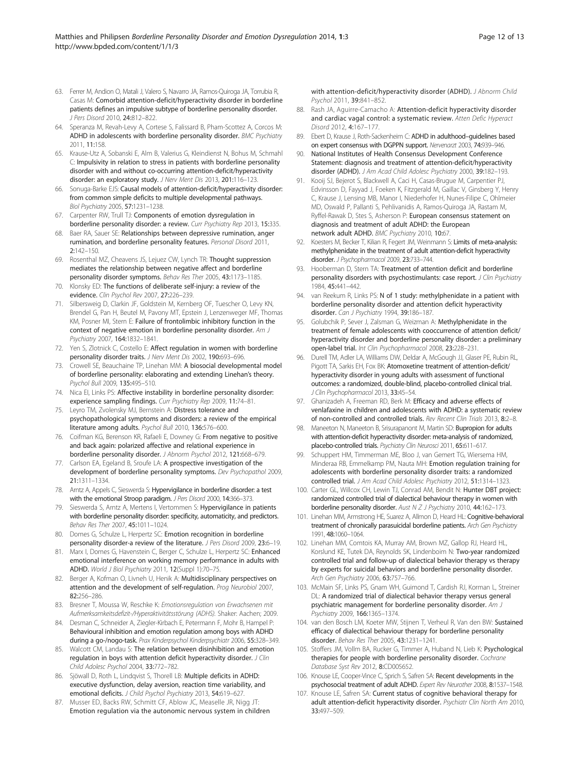- <span id="page-11-0"></span>J Pers Disord 2010, 24:812–822. 64. Speranza M, Revah-Levy A, Cortese S, Falissard B, Pham-Scottez A, Corcos M: ADHD in adolescents with borderline personality disorder. BMC Psychiatry 2011, 11:158.
- 65. Krause-Utz A, Sobanski E, Alm B, Valerius G, Kleindienst N, Bohus M, Schmahl C: Impulsivity in relation to stress in patients with borderline personality disorder with and without co-occurring attention-deficit/hyperactivity disorder: an exploratory study. J Nerv Ment Dis 2013, 201:116-123.
- 66. Sonuga-Barke EJS: Causal models of attention-deficit/hyperactivity disorder: from common simple deficits to multiple developmental pathways. Biol Psychiatry 2005, 57:1231–1238.
- 67. Carpenter RW, Trull TJ: Components of emotion dysregulation in borderline personality disorder: a review. Curr Psychiatry Rep 2013, 15:335.
- 68. Baer RA, Sauer SE: Relationships between depressive rumination, anger rumination, and borderline personality features. Personal Disord 2011, 2:142–150.
- 69. Rosenthal MZ, Cheavens JS, Lejuez CW, Lynch TR: Thought suppression mediates the relationship between negative affect and borderline personality disorder symptoms. Behav Res Ther 2005, 43:1173–1185.
- 70. Klonsky ED: The functions of deliberate self-injury: a review of the evidence. Clin Psychol Rev 2007, 27:226–239.
- 71. Silbersweig D, Clarkin JF, Goldstein M, Kernberg OF, Tuescher O, Levy KN, Brendel G, Pan H, Beutel M, Pavony MT, Epstein J, Lenzenweger MF, Thomas KM, Posner MI, Stern E: Failure of frontolimbic inhibitory function in the context of negative emotion in borderline personality disorder. Am J Psychiatry 2007, 164:1832–1841.
- 72. Yen S, Zlotnick C, Costello E: Affect regulation in women with borderline personality disorder traits. J Nerv Ment Dis 2002, 190:693-696.
- 73. Crowell SE, Beauchaine TP, Linehan MM: A biosocial developmental model of borderline personality: elaborating and extending Linehan's theory. Psychol Bull 2009, 135:495–510.
- 74. Nica EI, Links PS: Affective instability in borderline personality disorder: experience sampling findings. Curr Psychiatry Rep 2009, 11:74–81.
- 75. Leyro TM, Zvolensky MJ, Bernstein A: Distress tolerance and psychopathological symptoms and disorders: a review of the empirical literature among adults. Psychol Bull 2010, 136:576–600.
- 76. Coifman KG, Berenson KR, Rafaeli E, Downey G: From negative to positive and back again: polarized affective and relational experience in borderline personality disorder. J Abnorm Psychol 2012, 121:668–679.
- 77. Carlson EA, Egeland B, Sroufe LA: A prospective investigation of the development of borderline personality symptoms. Dev Psychopathol 2009, 21:1311–1334.
- 78. Arntz A, Appels C, Sieswerda S: Hypervigilance in borderline disorder: a test with the emotional Stroop paradigm. J Pers Disord 2000, 14:366-373.
- 79. Sieswerda S, Arntz A, Mertens I, Vertommen S: Hypervigilance in patients with borderline personality disorder: specificity, automaticity, and predictors. Behav Res Ther 2007, 45:1011–1024.
- 80. Domes G, Schulze L, Herpertz SC: Emotion recognition in borderline personality disorder-a review of the literature. J Pers Disord 2009, 23:6-19.
- 81. Marx I, Domes G, Havenstein C, Berger C, Schulze L, Herpertz SC: Enhanced emotional interference on working memory performance in adults with ADHD. World J Biol Psychiatry 2011, 12(Suppl 1):70–75.
- 82. Berger A, Kofman O, Livneh U, Henik A: Multidisciplinary perspectives on attention and the development of self-regulation. Prog Neurobiol 2007, 82:256–286.
- 83. Bresner T, Moussa W, Reschke K: Emotionsregulation von Erwachsenen mit Aufmerksamkeitsdefizit-/Hyperaktivitätsstörung (ADHS). Shaker: Aachen; 2009.
- 84. Desman C, Schneider A, Ziegler-Kirbach E, Petermann F, Mohr B, Hampel P: Behavioural inhibition and emotion regulation among boys with ADHD during a go-/nogo-task. Prax Kinderpsychol Kinderpsychiatr 2006, 55:328-349.
- 85. Walcott CM, Landau S: The relation between disinhibition and emotion regulation in boys with attention deficit hyperactivity disorder. J Clin Child Adolesc Psychol 2004, 33:772–782.
- 86. Sjöwall D, Roth L, Lindqvist S, Thorell LB: Multiple deficits in ADHD: executive dysfunction, delay aversion, reaction time variability, and emotional deficits. J Child Psychol Psychiatry 2013, 54:619-627.
- 87. Musser ED, Backs RW, Schmitt CF, Ablow JC, Measelle JR, Nigg JT: Emotion regulation via the autonomic nervous system in children

with attention-deficit/hyperactivity disorder (ADHD). J Abnorm Child Psychol 2011, 39:841–852.

- 88. Rash JA, Aguirre-Camacho A: Attention-deficit hyperactivity disorder and cardiac vagal control: a systematic review. Atten Defic Hyperact Disord 2012, 4:167–177.
- 89. Ebert D, Krause J, Roth-Sackenheim C: ADHD in adulthood-guidelines based on expert consensus with DGPPN support. Nervenarzt 2003, 74:939–946.
- 90. National Institutes of Health Consensus Development Conference Statement: diagnosis and treatment of attention-deficit/hyperactivity disorder (ADHD). J Am Acad Child Adolesc Psychiatry 2000, 39:182-193.
- 91. Kooij SJ, Bejerot S, Blackwell A, Caci H, Casas-Brugue M, Carpentier PJ, Edvinsson D, Fayyad J, Foeken K, Fitzgerald M, Gaillac V, Ginsberg Y, Henry C, Krause J, Lensing MB, Manor I, Niederhofer H, Nunes-Filipe C, Ohlmeier MD, Oswald P, Pallanti S, Pehlivanidis A, Ramos-Quiroga JA, Rastam M, Ryffel-Rawak D, Stes S, Asherson P: European consensus statement on diagnosis and treatment of adult ADHD: the European network adult ADHD. BMC Psychiatry 2010, 10:67.
- Koesters M, Becker T, Kilian R, Fegert JM, Weinmann S: Limits of meta-analysis: methylphenidate in the treatment of adult attention-deficit hyperactivity disorder. J Psychopharmacol 2009, 23:733–744.
- 93. Hooberman D, Stern TA: Treatment of attention deficit and borderline personality disorders with psychostimulants: case report. J Clin Psychiatry 1984, 45:441–442.
- 94. van Reekum R, Links PS: N of 1 study: methylphenidate in a patient with borderline personality disorder and attention deficit hyperactivity disorder. Can J Psychiatry 1994, 39:186-187.
- 95. Golubchik P, Sever J, Zalsman G, Weizman A: Methylphenidate in the treatment of female adolescents with cooccurrence of attention deficit/ hyperactivity disorder and borderline personality disorder: a preliminary open-label trial. Int Clin Psychopharmacol 2008, 23:228–231.
- 96. Durell TM, Adler LA, Williams DW, Deldar A, McGough JJ, Glaser PE, Rubin RL, Pigott TA, Sarkis EH, Fox BK: Atomoxetine treatment of attention-deficit/ hyperactivity disorder in young adults with assessment of functional outcomes: a randomized, double-blind, placebo-controlled clinical trial. J Clin Psychopharmacol 2013, 33:45–54.
- 97. Ghanizadeh A, Freeman RD, Berk M: Efficacy and adverse effects of venlafaxine in children and adolescents with ADHD: a systematic review of non-controlled and controlled trials. Rev Recent Clin Trials 2013, 8:2–8.
- 98. Maneeton N, Maneeton B, Srisurapanont M, Martin SD: Bupropion for adults with attention-deficit hyperactivity disorder: meta-analysis of randomized, placebo-controlled trials. Psychiatry Clin Neurosci 2011, 65:611-617.
- 99. Schuppert HM, Timmerman ME, Bloo J, van Gemert TG, Wiersema HM, Minderaa RB, Emmelkamp PM, Nauta MH: Emotion regulation training for adolescents with borderline personality disorder traits: a randomized controlled trial. J Am Acad Child Adolesc Psychiatry 2012, 51:1314–1323.
- 100. Carter GL, Willcox CH, Lewin TJ, Conrad AM, Bendit N: Hunter DBT project: randomized controlled trial of dialectical behaviour therapy in women with borderline personality disorder. Aust N Z J Psychiatry 2010, 44:162-173.
- 101. Linehan MM, Armstrong HE, Suarez A, Allmon D, Heard HL: Cognitive-behavioral treatment of chronically parasuicidal borderline patients. Arch Gen Psychiatry 1991, 48:1060–1064.
- 102. Linehan MM, Comtois KA, Murray AM, Brown MZ, Gallop RJ, Heard HL, Korslund KE, Tutek DA, Reynolds SK, Lindenboim N: Two-year randomized controlled trial and follow-up of dialectical behavior therapy vs therapy by experts for suicidal behaviors and borderline personality disorder. Arch Gen Psychiatry 2006, 63:757–766.
- 103. McMain SF, Links PS, Gnam WH, Guimond T, Cardish RJ, Korman L, Streiner DL: A randomized trial of dialectical behavior therapy versus general psychiatric management for borderline personality disorder. Am J Psychiatry 2009, 166:1365–1374.
- 104. van den Bosch LM, Koeter MW, Stijnen T, Verheul R, Van den BW: Sustained efficacy of dialectical behaviour therapy for borderline personality disorder. Behav Res Ther 2005, 43:1231–1241.
- 105. Stoffers JM, Vollm BA, Rucker G, Timmer A, Huband N, Lieb K: Psychological therapies for people with borderline personality disorder. Cochrane Database Syst Rev 2012, 8:CD005652.
- 106. Knouse LE, Cooper-Vince C, Sprich S, Safren SA: Recent developments in the psychosocial treatment of adult ADHD. Expert Rev Neurother 2008, 8:1537–1548.
- 107. Knouse LE, Safren SA: Current status of cognitive behavioral therapy for adult attention-deficit hyperactivity disorder. Psychiatr Clin North Am 2010, 33:497–509.